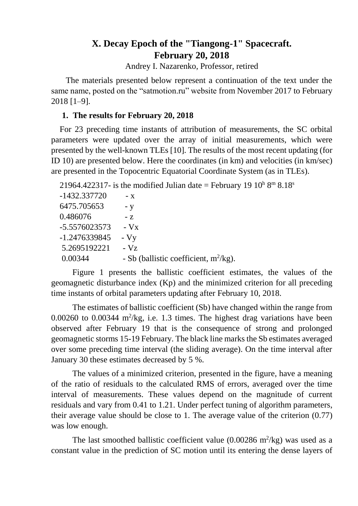# **X. Decay Epoch of the "Tiangong-1" Spacecraft. February 20, 2018**

Andrey I. Nazarenko, Professor, retired

 The materials presented below represent a continuation of the text under the same name, posted on the "satmotion.ru" website from November 2017 to February 2018 [1–9].

### **1. The results for February 20, 2018**

For 23 preceding time instants of attribution of measurements, the SC orbital parameters were updated over the array of initial measurements, which were presented by the well-known TLEs [10]. The results of the most recent updating (for ID 10) are presented below. Here the coordinates (in km) and velocities (in km/sec) are presented in the Topocentric Equatorial Coordinate System (as in TLEs).

21964.422317- is the modified Julian date = February 19  $10^{\text{h}} 8^{\text{m}} 8.18^{\text{s}}$ 

| -1432.337720    | $- X$                                    |
|-----------------|------------------------------------------|
| 6475.705653     | - y                                      |
| 0.486076        | $-7$                                     |
| -5.5576023573   | $-Vx$                                    |
| $-1.2476339845$ | $-Vy$                                    |
| 5.2695192221    | $-Vz$                                    |
| 0.00344         | - Sb (ballistic coefficient, $m^2/kg$ ). |
|                 |                                          |

Figure 1 presents the ballistic coefficient estimates, the values of the geomagnetic disturbance index (Kp) and the minimized criterion for all preceding time instants of orbital parameters updating after February 10, 2018.

The estimates of ballistic coefficient (Sb) have changed within the range from  $0.00260$  to  $0.00344$  m<sup>2</sup>/kg, i.e. 1.3 times. The highest drag variations have been observed after February 19 that is the consequence of strong and prolonged geomagnetic storms 15-19 February. The black line marks the Sb estimates averaged over some preceding time interval (the sliding average). On the time interval after January 30 these estimates decreased by 5 %.

The values of a minimized criterion, presented in the figure, have a meaning of the ratio of residuals to the calculated RMS of errors, averaged over the time interval of measurements. These values depend on the magnitude of current residuals and vary from 0.41 to 1.21. Under perfect tuning of algorithm parameters, their average value should be close to 1. The average value of the criterion (0.77) was low enough.

The last smoothed ballistic coefficient value  $(0.00286 \text{ m}^2/\text{kg})$  was used as a constant value in the prediction of SC motion until its entering the dense layers of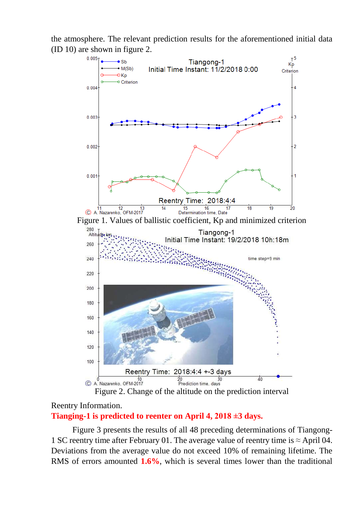the atmosphere. The relevant prediction results for the aforementioned initial data (ID 10) are shown in figure 2.



### Reentry Information. **Tianging-1 is predicted to reenter on April 4, 2018 ±3 days.**

Figure 3 presents the results of all 48 preceding determinations of Tiangong-1 SC reentry time after February 01. The average value of reentry time is  $\approx$  April 04. Deviations from the average value do not exceed 10% of remaining lifetime. The RMS of errors amounted **1.6%**, which is several times lower than the traditional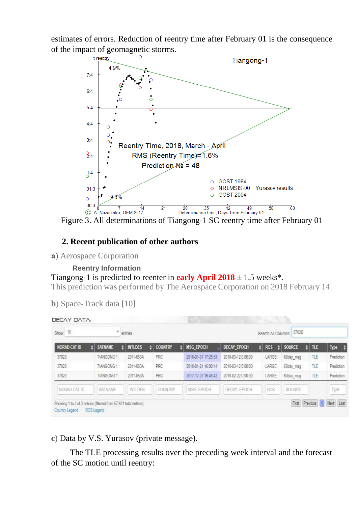estimates of errors. Reduction of reentry time after February 01 is the consequence of the impact of geomagnetic storms.



## **2. Recent publication of other authors**

**а**) Aerospace Corporation

**Reentry Information**

### Tiangong-1 is predicted to reenter in **early April 2018**  $\pm$  1.5 weeks<sup>\*</sup>.

This prediction was performed by The Aerospace Corporation on 2018 February 14.

|         | DECAY DATA:  |           | -              |                  |                     |             |
|---------|--------------|-----------|----------------|------------------|---------------------|-------------|
| Show 10 |              |           | entries        |                  |                     |             |
|         | NORAD CAT ID | SATNAME   | <b>INTLDES</b> | <b>COUNTRY</b>   | <b>MSG EPOCH</b>    | <b>DECA</b> |
| 37038   |              | THANDROOM | DRee RESA      | DDC <sup>3</sup> | 3840 64.54 43-35-00 | 7640        |

|  | b) Space-Track data [10] |  |  |
|--|--------------------------|--|--|
|--|--------------------------|--|--|

| <b>INTLDES</b><br><b>COUNTRY</b><br>PRC<br>2011-053A | <b>MSG EPOCH</b>                                                 | <b>DECAY EPOCH</b> | <b>RCS</b><br>۵ | <b>SOURCE</b> | <b>TLE</b> | Type<br>٠                |
|------------------------------------------------------|------------------------------------------------------------------|--------------------|-----------------|---------------|------------|--------------------------|
|                                                      |                                                                  |                    |                 |               |            |                          |
|                                                      | 2018-01-31 17:25:58                                              | 2018-03-12 0:00:00 | LARGE           | 60day msq     | TLE        | Prediction               |
| PRC<br>2011-053A                                     | 2018-01-24 16:00:44                                              | 2018-03-12 0:00:00 | LARGE           | 60day msg     | TLE        | Prediction               |
| PRC<br>2011-053A                                     | 2017-12-27 16:48:42                                              | 2018-02-22 0:00:00 | LARGE           | 60day msq     | TLE        | Prediction               |
| <b>INTLDES</b><br>COUNTRY                            | MSG EPOCH                                                        | DECAY EPOCH        | RCS             | SOURCE        |            | Type                     |
|                                                      | Showing 1 to 3 of 3 entries (filtered from 57,921 total entries) |                    |                 |               |            | First<br><b>Previous</b> |

**c**) Data by V.S. Yurasov (private message).

 The TLE processing results over the preceding week interval and the forecast of the SC motion until reentry: